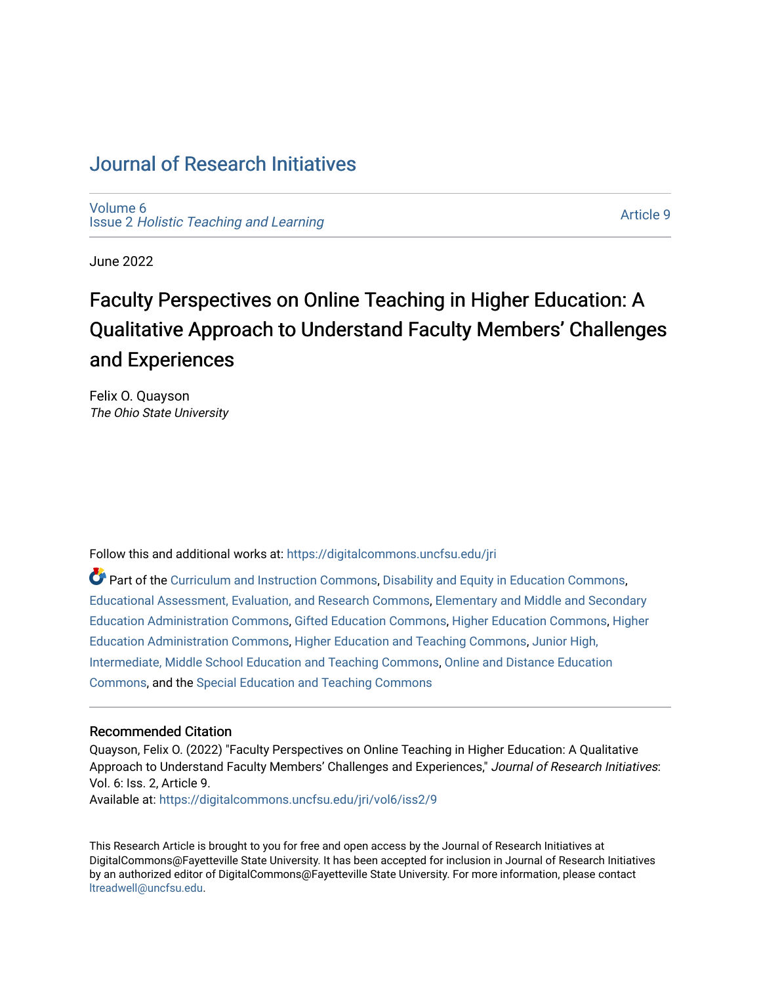# [Journal of Research Initiatives](https://digitalcommons.uncfsu.edu/jri)

[Volume 6](https://digitalcommons.uncfsu.edu/jri/vol6) Issue 2 [Holistic Teaching and Learning](https://digitalcommons.uncfsu.edu/jri/vol6/iss2)

[Article 9](https://digitalcommons.uncfsu.edu/jri/vol6/iss2/9) 

June 2022

# Faculty Perspectives on Online Teaching in Higher Education: A Qualitative Approach to Understand Faculty Members' Challenges and Experiences

Felix O. Quayson The Ohio State University

Follow this and additional works at: [https://digitalcommons.uncfsu.edu/jri](https://digitalcommons.uncfsu.edu/jri?utm_source=digitalcommons.uncfsu.edu%2Fjri%2Fvol6%2Fiss2%2F9&utm_medium=PDF&utm_campaign=PDFCoverPages) 

Part of the [Curriculum and Instruction Commons,](https://network.bepress.com/hgg/discipline/786?utm_source=digitalcommons.uncfsu.edu%2Fjri%2Fvol6%2Fiss2%2F9&utm_medium=PDF&utm_campaign=PDFCoverPages) [Disability and Equity in Education Commons](https://network.bepress.com/hgg/discipline/1040?utm_source=digitalcommons.uncfsu.edu%2Fjri%2Fvol6%2Fiss2%2F9&utm_medium=PDF&utm_campaign=PDFCoverPages), [Educational Assessment, Evaluation, and Research Commons,](https://network.bepress.com/hgg/discipline/796?utm_source=digitalcommons.uncfsu.edu%2Fjri%2Fvol6%2Fiss2%2F9&utm_medium=PDF&utm_campaign=PDFCoverPages) [Elementary and Middle and Secondary](https://network.bepress.com/hgg/discipline/790?utm_source=digitalcommons.uncfsu.edu%2Fjri%2Fvol6%2Fiss2%2F9&utm_medium=PDF&utm_campaign=PDFCoverPages)  [Education Administration Commons,](https://network.bepress.com/hgg/discipline/790?utm_source=digitalcommons.uncfsu.edu%2Fjri%2Fvol6%2Fiss2%2F9&utm_medium=PDF&utm_campaign=PDFCoverPages) [Gifted Education Commons](https://network.bepress.com/hgg/discipline/1048?utm_source=digitalcommons.uncfsu.edu%2Fjri%2Fvol6%2Fiss2%2F9&utm_medium=PDF&utm_campaign=PDFCoverPages), [Higher Education Commons,](https://network.bepress.com/hgg/discipline/1245?utm_source=digitalcommons.uncfsu.edu%2Fjri%2Fvol6%2Fiss2%2F9&utm_medium=PDF&utm_campaign=PDFCoverPages) [Higher](https://network.bepress.com/hgg/discipline/791?utm_source=digitalcommons.uncfsu.edu%2Fjri%2Fvol6%2Fiss2%2F9&utm_medium=PDF&utm_campaign=PDFCoverPages) [Education Administration Commons,](https://network.bepress.com/hgg/discipline/791?utm_source=digitalcommons.uncfsu.edu%2Fjri%2Fvol6%2Fiss2%2F9&utm_medium=PDF&utm_campaign=PDFCoverPages) [Higher Education and Teaching Commons,](https://network.bepress.com/hgg/discipline/806?utm_source=digitalcommons.uncfsu.edu%2Fjri%2Fvol6%2Fiss2%2F9&utm_medium=PDF&utm_campaign=PDFCoverPages) [Junior High,](https://network.bepress.com/hgg/discipline/807?utm_source=digitalcommons.uncfsu.edu%2Fjri%2Fvol6%2Fiss2%2F9&utm_medium=PDF&utm_campaign=PDFCoverPages)  [Intermediate, Middle School Education and Teaching Commons](https://network.bepress.com/hgg/discipline/807?utm_source=digitalcommons.uncfsu.edu%2Fjri%2Fvol6%2Fiss2%2F9&utm_medium=PDF&utm_campaign=PDFCoverPages), [Online and Distance Education](https://network.bepress.com/hgg/discipline/1296?utm_source=digitalcommons.uncfsu.edu%2Fjri%2Fvol6%2Fiss2%2F9&utm_medium=PDF&utm_campaign=PDFCoverPages) [Commons](https://network.bepress.com/hgg/discipline/1296?utm_source=digitalcommons.uncfsu.edu%2Fjri%2Fvol6%2Fiss2%2F9&utm_medium=PDF&utm_campaign=PDFCoverPages), and the [Special Education and Teaching Commons](https://network.bepress.com/hgg/discipline/801?utm_source=digitalcommons.uncfsu.edu%2Fjri%2Fvol6%2Fiss2%2F9&utm_medium=PDF&utm_campaign=PDFCoverPages) 

#### Recommended Citation

Quayson, Felix O. (2022) "Faculty Perspectives on Online Teaching in Higher Education: A Qualitative Approach to Understand Faculty Members' Challenges and Experiences," Journal of Research Initiatives: Vol. 6: Iss. 2, Article 9. Available at: [https://digitalcommons.uncfsu.edu/jri/vol6/iss2/9](https://digitalcommons.uncfsu.edu/jri/vol6/iss2/9?utm_source=digitalcommons.uncfsu.edu%2Fjri%2Fvol6%2Fiss2%2F9&utm_medium=PDF&utm_campaign=PDFCoverPages) 

This Research Article is brought to you for free and open access by the Journal of Research Initiatives at DigitalCommons@Fayetteville State University. It has been accepted for inclusion in Journal of Research Initiatives by an authorized editor of DigitalCommons@Fayetteville State University. For more information, please contact [ltreadwell@uncfsu.edu](mailto:ltreadwell@uncfsu.edu).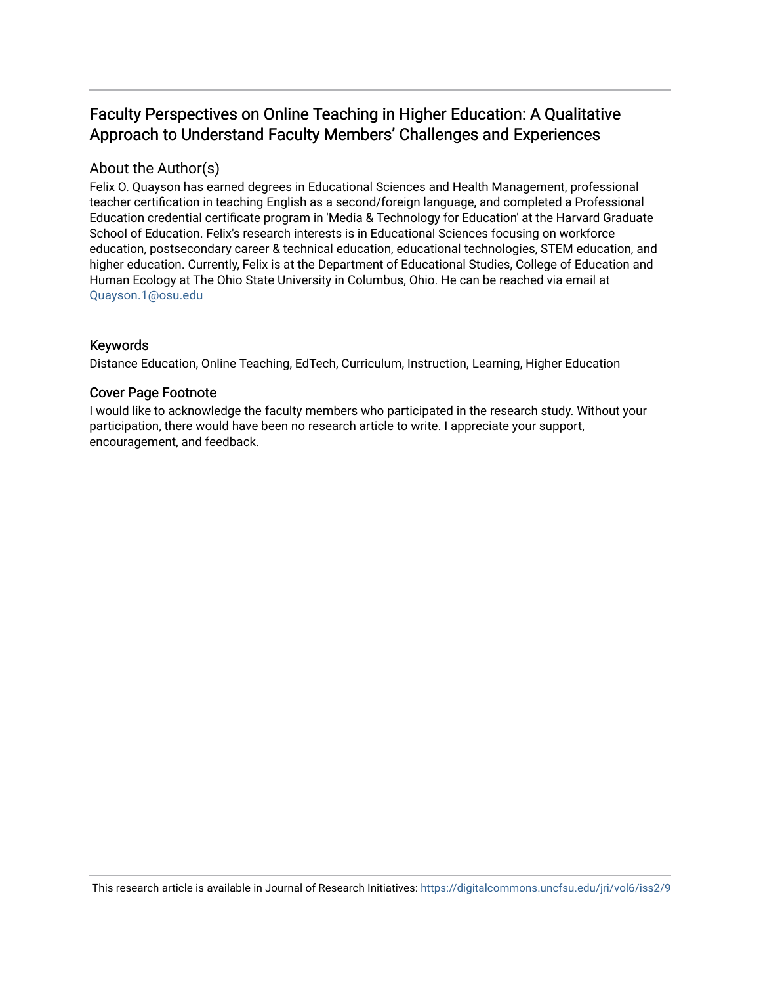# Faculty Perspectives on Online Teaching in Higher Education: A Qualitative Approach to Understand Faculty Members' Challenges and Experiences

# About the Author(s)

Felix O. Quayson has earned degrees in Educational Sciences and Health Management, professional teacher certification in teaching English as a second/foreign language, and completed a Professional Education credential certificate program in 'Media & Technology for Education' at the Harvard Graduate School of Education. Felix's research interests is in Educational Sciences focusing on workforce education, postsecondary career & technical education, educational technologies, STEM education, and higher education. Currently, Felix is at the Department of Educational Studies, College of Education and Human Ecology at The Ohio State University in Columbus, Ohio. He can be reached via email at [Quayson.1@osu.edu](mailto:Quayson.1@osu.edu) 

## Keywords

Distance Education, Online Teaching, EdTech, Curriculum, Instruction, Learning, Higher Education

## Cover Page Footnote

I would like to acknowledge the faculty members who participated in the research study. Without your participation, there would have been no research article to write. I appreciate your support, encouragement, and feedback.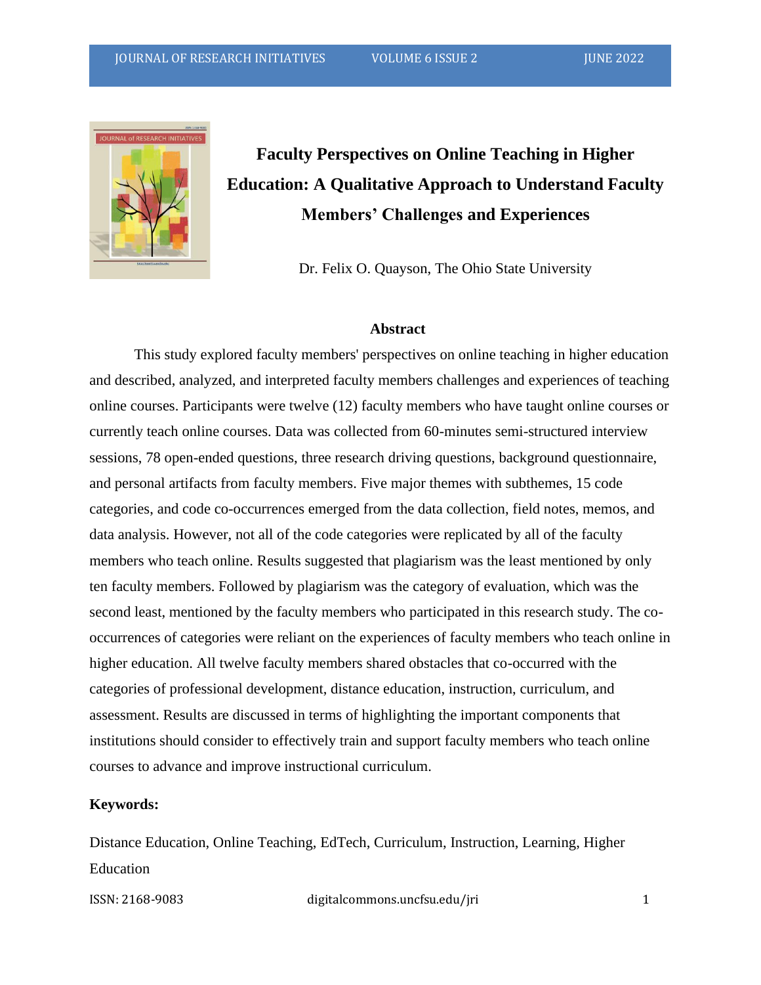

# **Faculty Perspectives on Online Teaching in Higher Education: A Qualitative Approach to Understand Faculty Members' Challenges and Experiences**

Dr. Felix O. Quayson, The Ohio State University

#### **Abstract**

This study explored faculty members' perspectives on online teaching in higher education and described, analyzed, and interpreted faculty members challenges and experiences of teaching online courses. Participants were twelve (12) faculty members who have taught online courses or currently teach online courses. Data was collected from 60-minutes semi-structured interview sessions, 78 open-ended questions, three research driving questions, background questionnaire, and personal artifacts from faculty members. Five major themes with subthemes, 15 code categories, and code co-occurrences emerged from the data collection, field notes, memos, and data analysis. However, not all of the code categories were replicated by all of the faculty members who teach online. Results suggested that plagiarism was the least mentioned by only ten faculty members. Followed by plagiarism was the category of evaluation, which was the second least, mentioned by the faculty members who participated in this research study. The cooccurrences of categories were reliant on the experiences of faculty members who teach online in higher education. All twelve faculty members shared obstacles that co-occurred with the categories of professional development, distance education, instruction, curriculum, and assessment. Results are discussed in terms of highlighting the important components that institutions should consider to effectively train and support faculty members who teach online courses to advance and improve instructional curriculum.

#### **Keywords:**

Distance Education, Online Teaching, EdTech, Curriculum, Instruction, Learning, Higher Education

ISSN: 2168-9083 digitalcommons.uncfsu.edu/jri 1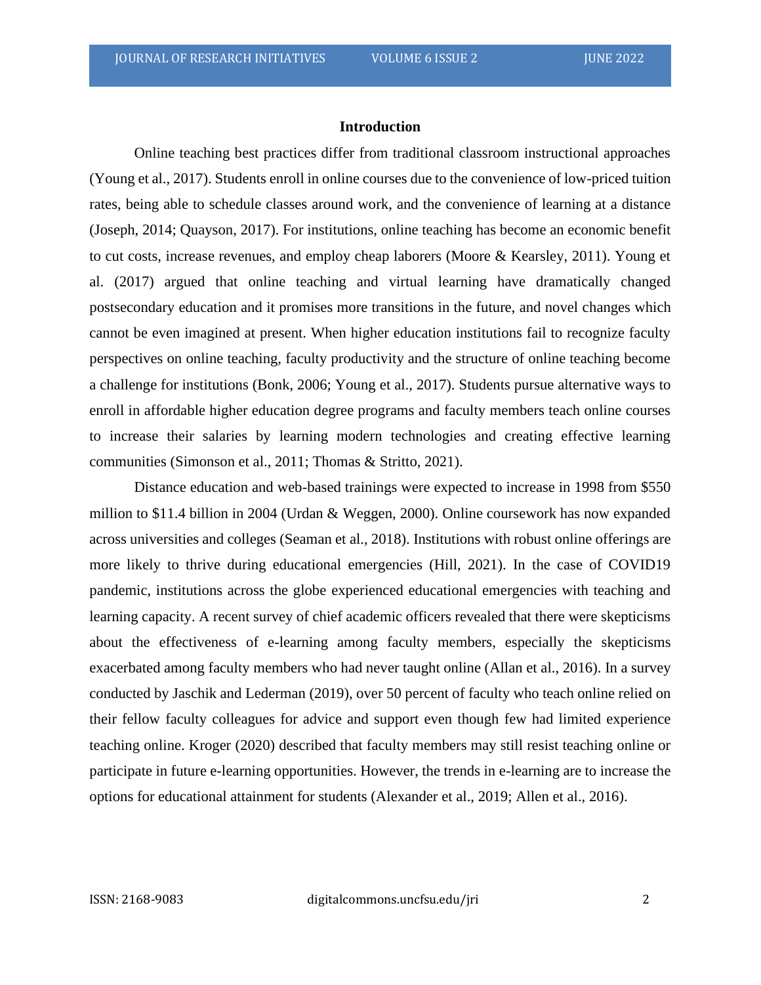#### **Introduction**

Online teaching best practices differ from traditional classroom instructional approaches (Young et al., 2017). Students enroll in online courses due to the convenience of low-priced tuition rates, being able to schedule classes around work, and the convenience of learning at a distance (Joseph, 2014; Quayson, 2017). For institutions, online teaching has become an economic benefit to cut costs, increase revenues, and employ cheap laborers (Moore & Kearsley, 2011). Young et al. (2017) argued that online teaching and virtual learning have dramatically changed postsecondary education and it promises more transitions in the future, and novel changes which cannot be even imagined at present. When higher education institutions fail to recognize faculty perspectives on online teaching, faculty productivity and the structure of online teaching become a challenge for institutions (Bonk, 2006; Young et al., 2017). Students pursue alternative ways to enroll in affordable higher education degree programs and faculty members teach online courses to increase their salaries by learning modern technologies and creating effective learning communities (Simonson et al., 2011; Thomas & Stritto, 2021).

Distance education and web-based trainings were expected to increase in 1998 from \$550 million to \$11.4 billion in 2004 (Urdan & Weggen, 2000). Online coursework has now expanded across universities and colleges (Seaman et al., 2018). Institutions with robust online offerings are more likely to thrive during educational emergencies (Hill, 2021). In the case of COVID19 pandemic, institutions across the globe experienced educational emergencies with teaching and learning capacity. A recent survey of chief academic officers revealed that there were skepticisms about the effectiveness of e-learning among faculty members, especially the skepticisms exacerbated among faculty members who had never taught online (Allan et al., 2016). In a survey conducted by Jaschik and Lederman (2019), over 50 percent of faculty who teach online relied on their fellow faculty colleagues for advice and support even though few had limited experience teaching online. Kroger (2020) described that faculty members may still resist teaching online or participate in future e-learning opportunities. However, the trends in e-learning are to increase the options for educational attainment for students (Alexander et al., 2019; Allen et al., 2016).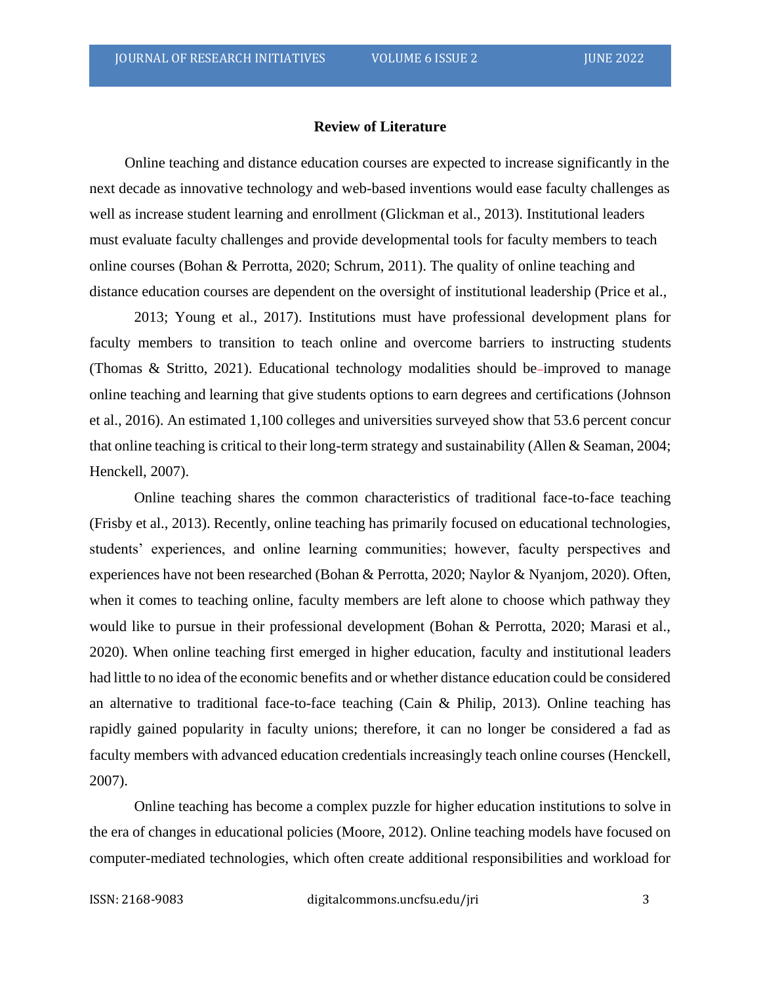#### **Review of Literature**

Online teaching and distance education courses are expected to increase significantly in the next decade as innovative technology and web-based inventions would ease faculty challenges as well as increase student learning and enrollment (Glickman et al., 2013). Institutional leaders must evaluate faculty challenges and provide developmental tools for faculty members to teach online courses (Bohan & Perrotta, 2020; Schrum, 2011). The quality of online teaching and distance education courses are dependent on the oversight of institutional leadership (Price et al.,

2013; Young et al., 2017). Institutions must have professional development plans for faculty members to transition to teach online and overcome barriers to instructing students (Thomas & Stritto, 2021). Educational technology modalities should be-improved to manage online teaching and learning that give students options to earn degrees and certifications (Johnson et al., 2016). An estimated 1,100 colleges and universities surveyed show that 53.6 percent concur that online teaching is critical to their long-term strategy and sustainability (Allen & Seaman, 2004; Henckell, 2007).

Online teaching shares the common characteristics of traditional face-to-face teaching (Frisby et al., 2013). Recently, online teaching has primarily focused on educational technologies, students' experiences, and online learning communities; however, faculty perspectives and experiences have not been researched (Bohan & Perrotta, 2020; Naylor & Nyanjom, 2020). Often, when it comes to teaching online, faculty members are left alone to choose which pathway they would like to pursue in their professional development (Bohan & Perrotta, 2020; Marasi et al., 2020). When online teaching first emerged in higher education, faculty and institutional leaders had little to no idea of the economic benefits and or whether distance education could be considered an alternative to traditional face-to-face teaching (Cain & Philip, 2013). Online teaching has rapidly gained popularity in faculty unions; therefore, it can no longer be considered a fad as faculty members with advanced education credentials increasingly teach online courses (Henckell, 2007).

Online teaching has become a complex puzzle for higher education institutions to solve in the era of changes in educational policies (Moore, 2012). Online teaching models have focused on computer-mediated technologies, which often create additional responsibilities and workload for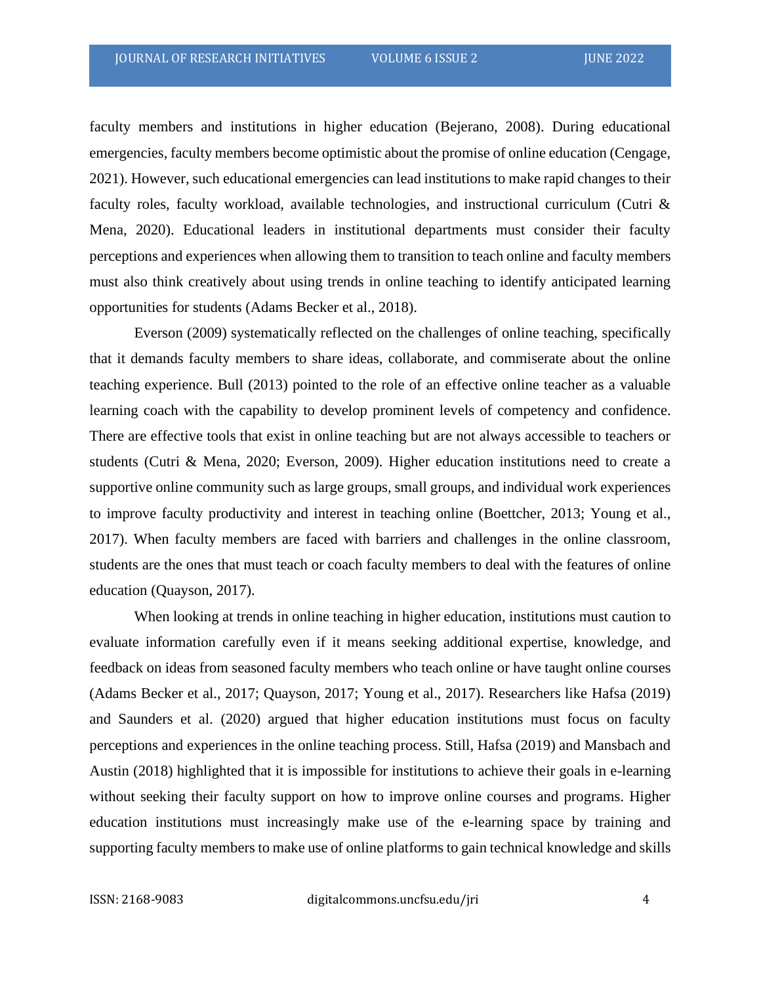faculty members and institutions in higher education (Bejerano, 2008). During educational emergencies, faculty members become optimistic about the promise of online education (Cengage, 2021). However, such educational emergencies can lead institutions to make rapid changes to their faculty roles, faculty workload, available technologies, and instructional curriculum (Cutri & Mena, 2020). Educational leaders in institutional departments must consider their faculty perceptions and experiences when allowing them to transition to teach online and faculty members must also think creatively about using trends in online teaching to identify anticipated learning opportunities for students (Adams Becker et al., 2018).

Everson (2009) systematically reflected on the challenges of online teaching, specifically that it demands faculty members to share ideas, collaborate, and commiserate about the online teaching experience. Bull (2013) pointed to the role of an effective online teacher as a valuable learning coach with the capability to develop prominent levels of competency and confidence. There are effective tools that exist in online teaching but are not always accessible to teachers or students (Cutri & Mena, 2020; Everson, 2009). Higher education institutions need to create a supportive online community such as large groups, small groups, and individual work experiences to improve faculty productivity and interest in teaching online (Boettcher, 2013; Young et al., 2017). When faculty members are faced with barriers and challenges in the online classroom, students are the ones that must teach or coach faculty members to deal with the features of online education (Quayson, 2017).

When looking at trends in online teaching in higher education, institutions must caution to evaluate information carefully even if it means seeking additional expertise, knowledge, and feedback on ideas from seasoned faculty members who teach online or have taught online courses (Adams Becker et al., 2017; Quayson, 2017; Young et al., 2017). Researchers like Hafsa (2019) and Saunders et al. (2020) argued that higher education institutions must focus on faculty perceptions and experiences in the online teaching process. Still, Hafsa (2019) and Mansbach and Austin (2018) highlighted that it is impossible for institutions to achieve their goals in e-learning without seeking their faculty support on how to improve online courses and programs. Higher education institutions must increasingly make use of the e-learning space by training and supporting faculty members to make use of online platforms to gain technical knowledge and skills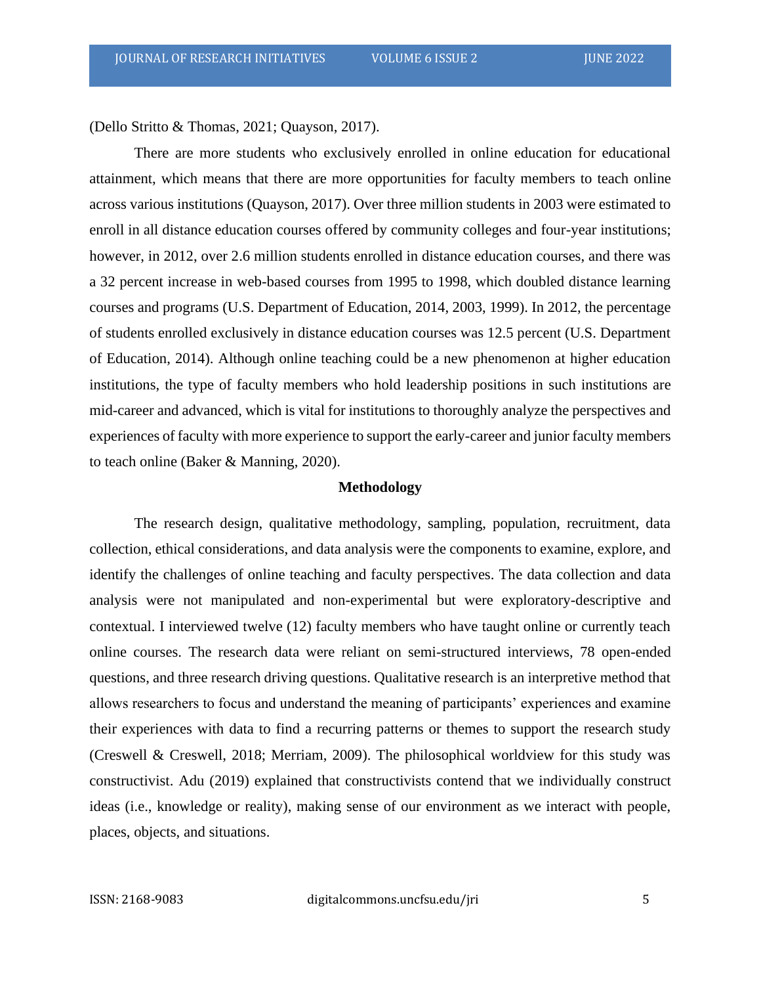(Dello Stritto & Thomas, 2021; Quayson, 2017).

There are more students who exclusively enrolled in online education for educational attainment, which means that there are more opportunities for faculty members to teach online across various institutions (Quayson, 2017). Over three million students in 2003 were estimated to enroll in all distance education courses offered by community colleges and four-year institutions; however, in 2012, over 2.6 million students enrolled in distance education courses, and there was a 32 percent increase in web-based courses from 1995 to 1998, which doubled distance learning courses and programs (U.S. Department of Education, 2014, 2003, 1999). In 2012, the percentage of students enrolled exclusively in distance education courses was 12.5 percent (U.S. Department of Education, 2014). Although online teaching could be a new phenomenon at higher education institutions, the type of faculty members who hold leadership positions in such institutions are mid-career and advanced, which is vital for institutions to thoroughly analyze the perspectives and experiences of faculty with more experience to support the early-career and junior faculty members to teach online (Baker & Manning, 2020).

### **Methodology**

The research design, qualitative methodology, sampling, population, recruitment, data collection, ethical considerations, and data analysis were the components to examine, explore, and identify the challenges of online teaching and faculty perspectives. The data collection and data analysis were not manipulated and non-experimental but were exploratory-descriptive and contextual. I interviewed twelve (12) faculty members who have taught online or currently teach online courses. The research data were reliant on semi-structured interviews, 78 open-ended questions, and three research driving questions. Qualitative research is an interpretive method that allows researchers to focus and understand the meaning of participants' experiences and examine their experiences with data to find a recurring patterns or themes to support the research study (Creswell & Creswell, 2018; Merriam, 2009). The philosophical worldview for this study was constructivist. Adu (2019) explained that constructivists contend that we individually construct ideas (i.e., knowledge or reality), making sense of our environment as we interact with people, places, objects, and situations.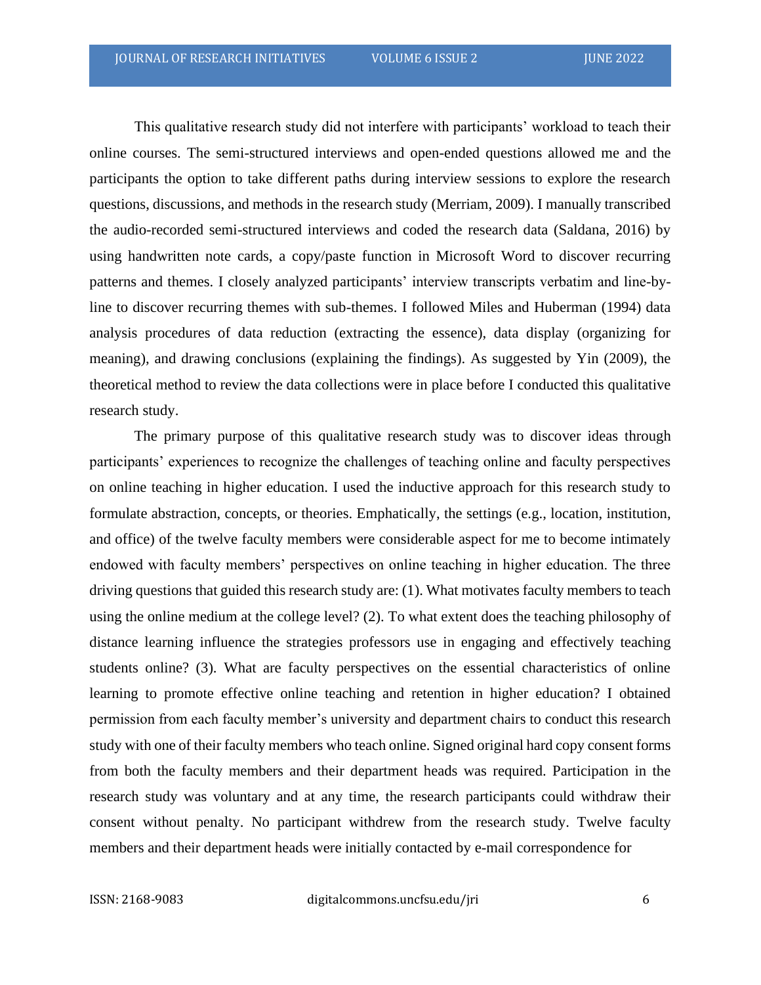This qualitative research study did not interfere with participants' workload to teach their online courses. The semi-structured interviews and open-ended questions allowed me and the participants the option to take different paths during interview sessions to explore the research questions, discussions, and methods in the research study (Merriam, 2009). I manually transcribed the audio-recorded semi-structured interviews and coded the research data (Saldana, 2016) by using handwritten note cards, a copy/paste function in Microsoft Word to discover recurring patterns and themes. I closely analyzed participants' interview transcripts verbatim and line-byline to discover recurring themes with sub-themes. I followed Miles and Huberman (1994) data analysis procedures of data reduction (extracting the essence), data display (organizing for meaning), and drawing conclusions (explaining the findings). As suggested by Yin (2009), the theoretical method to review the data collections were in place before I conducted this qualitative research study.

The primary purpose of this qualitative research study was to discover ideas through participants' experiences to recognize the challenges of teaching online and faculty perspectives on online teaching in higher education. I used the inductive approach for this research study to formulate abstraction, concepts, or theories. Emphatically, the settings (e.g., location, institution, and office) of the twelve faculty members were considerable aspect for me to become intimately endowed with faculty members' perspectives on online teaching in higher education. The three driving questions that guided this research study are: (1). What motivates faculty members to teach using the online medium at the college level? (2). To what extent does the teaching philosophy of distance learning influence the strategies professors use in engaging and effectively teaching students online? (3). What are faculty perspectives on the essential characteristics of online learning to promote effective online teaching and retention in higher education? I obtained permission from each faculty member's university and department chairs to conduct this research study with one of their faculty members who teach online. Signed original hard copy consent forms from both the faculty members and their department heads was required. Participation in the research study was voluntary and at any time, the research participants could withdraw their consent without penalty. No participant withdrew from the research study. Twelve faculty members and their department heads were initially contacted by e-mail correspondence for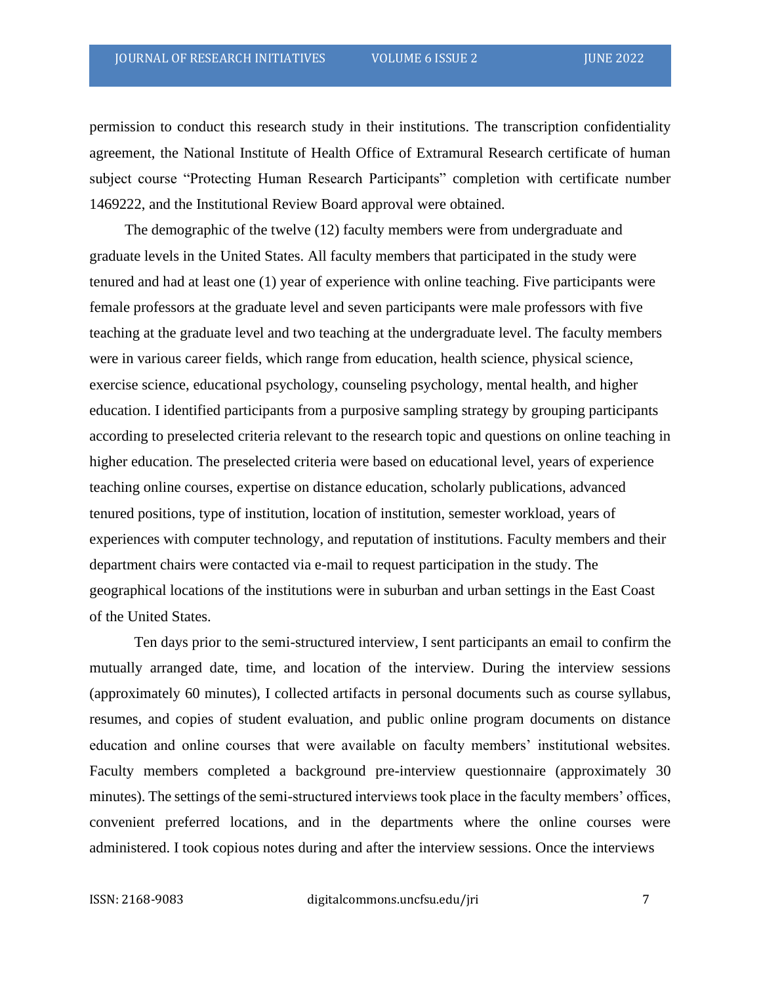permission to conduct this research study in their institutions. The transcription confidentiality agreement, the National Institute of Health Office of Extramural Research certificate of human subject course "Protecting Human Research Participants" completion with certificate number 1469222, and the Institutional Review Board approval were obtained.

The demographic of the twelve (12) faculty members were from undergraduate and graduate levels in the United States. All faculty members that participated in the study were tenured and had at least one (1) year of experience with online teaching. Five participants were female professors at the graduate level and seven participants were male professors with five teaching at the graduate level and two teaching at the undergraduate level. The faculty members were in various career fields, which range from education, health science, physical science, exercise science, educational psychology, counseling psychology, mental health, and higher education. I identified participants from a purposive sampling strategy by grouping participants according to preselected criteria relevant to the research topic and questions on online teaching in higher education. The preselected criteria were based on educational level, years of experience teaching online courses, expertise on distance education, scholarly publications, advanced tenured positions, type of institution, location of institution, semester workload, years of experiences with computer technology, and reputation of institutions. Faculty members and their department chairs were contacted via e-mail to request participation in the study. The geographical locations of the institutions were in suburban and urban settings in the East Coast of the United States.

Ten days prior to the semi-structured interview, I sent participants an email to confirm the mutually arranged date, time, and location of the interview. During the interview sessions (approximately 60 minutes), I collected artifacts in personal documents such as course syllabus, resumes, and copies of student evaluation, and public online program documents on distance education and online courses that were available on faculty members' institutional websites. Faculty members completed a background pre-interview questionnaire (approximately 30 minutes). The settings of the semi-structured interviews took place in the faculty members' offices, convenient preferred locations, and in the departments where the online courses were administered. I took copious notes during and after the interview sessions. Once the interviews

ISSN: 2168-9083 digitalcommons.uncfsu.edu/jri 7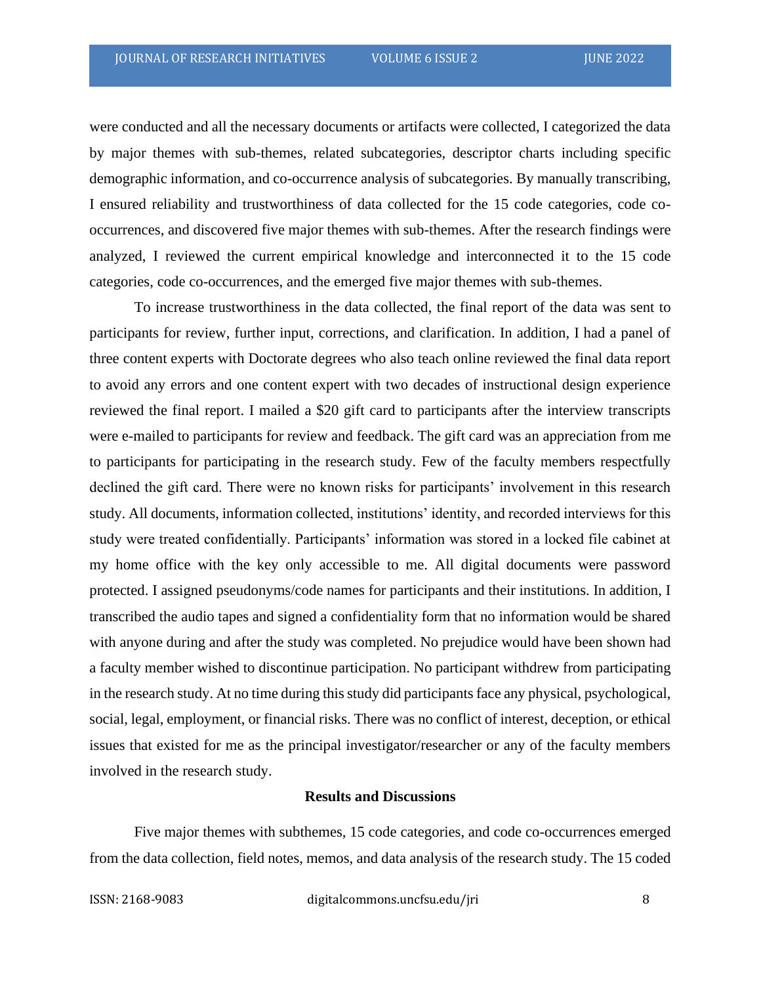were conducted and all the necessary documents or artifacts were collected, I categorized the data by major themes with sub-themes, related subcategories, descriptor charts including specific demographic information, and co-occurrence analysis of subcategories. By manually transcribing, I ensured reliability and trustworthiness of data collected for the 15 code categories, code cooccurrences, and discovered five major themes with sub-themes. After the research findings were analyzed, I reviewed the current empirical knowledge and interconnected it to the 15 code categories, code co-occurrences, and the emerged five major themes with sub-themes.

To increase trustworthiness in the data collected, the final report of the data was sent to participants for review, further input, corrections, and clarification. In addition, I had a panel of three content experts with Doctorate degrees who also teach online reviewed the final data report to avoid any errors and one content expert with two decades of instructional design experience reviewed the final report. I mailed a \$20 gift card to participants after the interview transcripts were e-mailed to participants for review and feedback. The gift card was an appreciation from me to participants for participating in the research study. Few of the faculty members respectfully declined the gift card. There were no known risks for participants' involvement in this research study. All documents, information collected, institutions' identity, and recorded interviews for this study were treated confidentially. Participants' information was stored in a locked file cabinet at my home office with the key only accessible to me. All digital documents were password protected. I assigned pseudonyms/code names for participants and their institutions. In addition, I transcribed the audio tapes and signed a confidentiality form that no information would be shared with anyone during and after the study was completed. No prejudice would have been shown had a faculty member wished to discontinue participation. No participant withdrew from participating in the research study. At no time during this study did participants face any physical, psychological, social, legal, employment, or financial risks. There was no conflict of interest, deception, or ethical issues that existed for me as the principal investigator/researcher or any of the faculty members involved in the research study.

### **Results and Discussions**

Five major themes with subthemes, 15 code categories, and code co-occurrences emerged from the data collection, field notes, memos, and data analysis of the research study. The 15 coded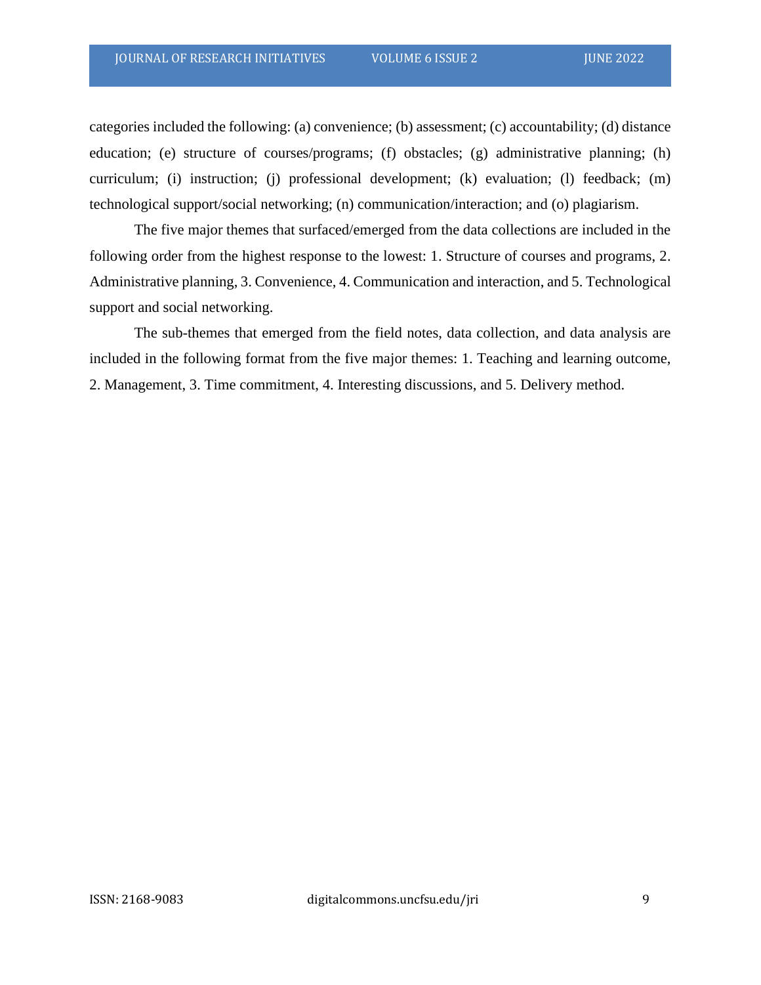categories included the following: (a) convenience; (b) assessment; (c) accountability; (d) distance education; (e) structure of courses/programs; (f) obstacles; (g) administrative planning; (h) curriculum; (i) instruction; (j) professional development; (k) evaluation; (l) feedback; (m) technological support/social networking; (n) communication/interaction; and (o) plagiarism.

The five major themes that surfaced/emerged from the data collections are included in the following order from the highest response to the lowest: 1. Structure of courses and programs, 2. Administrative planning, 3. Convenience, 4. Communication and interaction, and 5. Technological support and social networking.

The sub-themes that emerged from the field notes, data collection, and data analysis are included in the following format from the five major themes: 1. Teaching and learning outcome, 2. Management, 3. Time commitment, 4. Interesting discussions, and 5. Delivery method.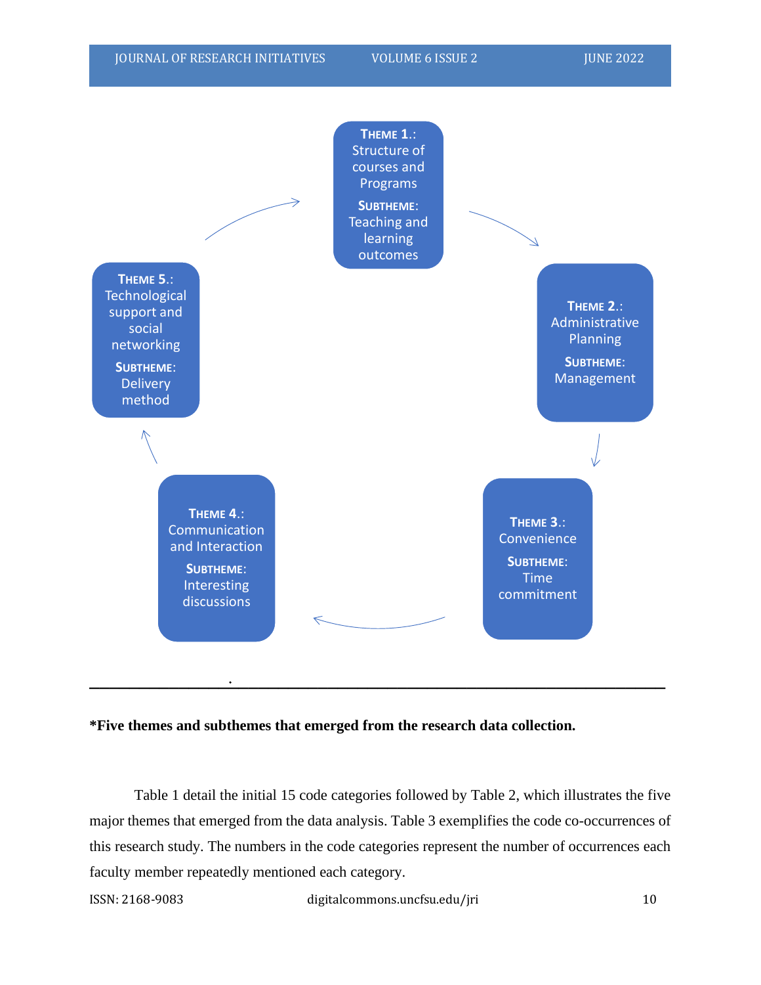

#### **\*Five themes and subthemes that emerged from the research data collection.**

Table 1 detail the initial 15 code categories followed by Table 2, which illustrates the five major themes that emerged from the data analysis. Table 3 exemplifies the code co-occurrences of this research study. The numbers in the code categories represent the number of occurrences each faculty member repeatedly mentioned each category.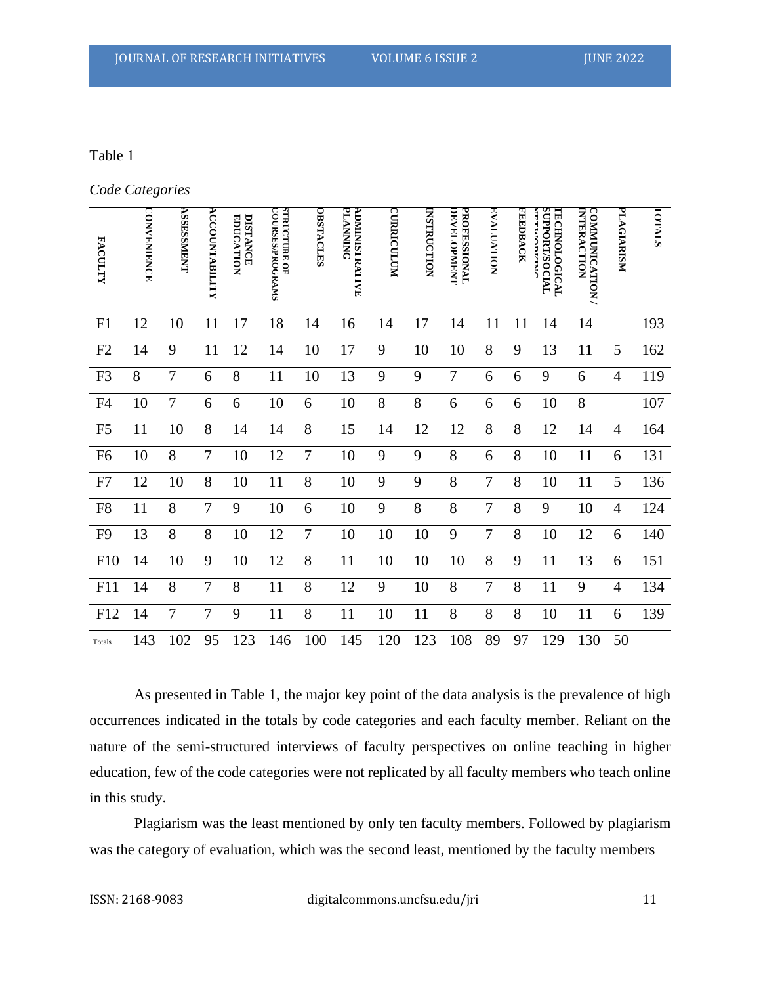#### Table 1

*Code Categories*

| <b>FACULTY</b> | <b>CONAENHING</b> | <b>TZENSSESSA</b> | <b>ACCOUNTABILITY</b> | <b>DISTANCE</b><br><b>EDUCATION</b> | <b>STRUCTURE OF</b><br><b>COURSES/PROGRAMS</b> | <b>OBSTACLES</b> | <b>PLANNING</b><br><b>ADMINISTRATIVE</b> | <b>CURRICULUM</b> | INSTRUCTION | PROFESSIONAL<br><b>DEVELOPMENT</b> | <b>EVALDITAN</b> | <b>FEEDBACK</b> | <b>SUPPORT/SOCIAL</b><br>TECHNOLOGICAL<br><b>TETTING DETAIL</b> | COMMUNICATION<br><b>INTERACTION</b> | PLAGIARISM     | TOTALS |
|----------------|-------------------|-------------------|-----------------------|-------------------------------------|------------------------------------------------|------------------|------------------------------------------|-------------------|-------------|------------------------------------|------------------|-----------------|-----------------------------------------------------------------|-------------------------------------|----------------|--------|
| F1             | 12                | 10                | 11                    | 17                                  | 18                                             | 14               | 16                                       | 14                | 17          | 14                                 | 11               | 11              | 14                                                              | 14                                  |                | 193    |
| F2             | 14                | 9                 | 11                    | 12                                  | 14                                             | 10               | 17                                       | 9                 | 10          | 10                                 | 8                | 9               | 13                                                              | 11                                  | 5              | 162    |
| F <sub>3</sub> | 8                 | $\tau$            | 6                     | 8                                   | 11                                             | 10               | 13                                       | 9                 | 9           | $\tau$                             | 6                | 6               | 9                                                               | 6                                   | $\overline{4}$ | 119    |
| F4             | 10                | 7                 | 6                     | 6                                   | 10                                             | 6                | 10                                       | 8                 | 8           | 6                                  | 6                | 6               | 10                                                              | 8                                   |                | 107    |
| F <sub>5</sub> | 11                | 10                | 8                     | 14                                  | 14                                             | 8                | 15                                       | 14                | 12          | 12                                 | 8                | 8               | 12                                                              | 14                                  | $\overline{4}$ | 164    |
| F <sub>6</sub> | 10                | 8                 | $\overline{7}$        | 10                                  | 12                                             | $\boldsymbol{7}$ | 10                                       | 9                 | 9           | $8\,$                              | 6                | 8               | 10                                                              | 11                                  | 6              | 131    |
| F7             | 12                | 10                | 8                     | 10                                  | 11                                             | 8                | 10                                       | 9                 | 9           | 8                                  | 7                | 8               | 10                                                              | 11                                  | 5              | 136    |
| F8             | 11                | 8                 | $\overline{7}$        | 9                                   | 10                                             | 6                | 10                                       | 9                 | 8           | 8                                  | 7                | 8               | 9                                                               | 10                                  | $\overline{4}$ | 124    |
| F <sub>9</sub> | 13                | 8                 | 8                     | 10                                  | 12                                             | $\overline{7}$   | 10                                       | 10                | 10          | 9                                  | $\overline{7}$   | 8               | 10                                                              | 12                                  | 6              | 140    |
| F10            | 14                | 10                | 9                     | 10                                  | 12                                             | 8                | 11                                       | 10                | 10          | 10                                 | 8                | 9               | 11                                                              | 13                                  | 6              | 151    |
| F11            | 14                | 8                 | $\overline{7}$        | 8                                   | 11                                             | 8                | 12                                       | 9                 | 10          | 8                                  | 7                | 8               | 11                                                              | 9                                   | $\overline{4}$ | 134    |
| F12            | 14                | 7                 | $\overline{7}$        | 9                                   | 11                                             | 8                | 11                                       | 10                | 11          | 8                                  | 8                | 8               | 10                                                              | 11                                  | 6              | 139    |
| Totals         | 143               | 102               | 95                    | 123                                 | 146                                            | 100              | 145                                      | 120               | 123         | 108                                | 89               | 97              | 129                                                             | 130                                 | 50             |        |

As presented in Table 1, the major key point of the data analysis is the prevalence of high occurrences indicated in the totals by code categories and each faculty member. Reliant on the nature of the semi-structured interviews of faculty perspectives on online teaching in higher education, few of the code categories were not replicated by all faculty members who teach online in this study.

Plagiarism was the least mentioned by only ten faculty members. Followed by plagiarism was the category of evaluation, which was the second least, mentioned by the faculty members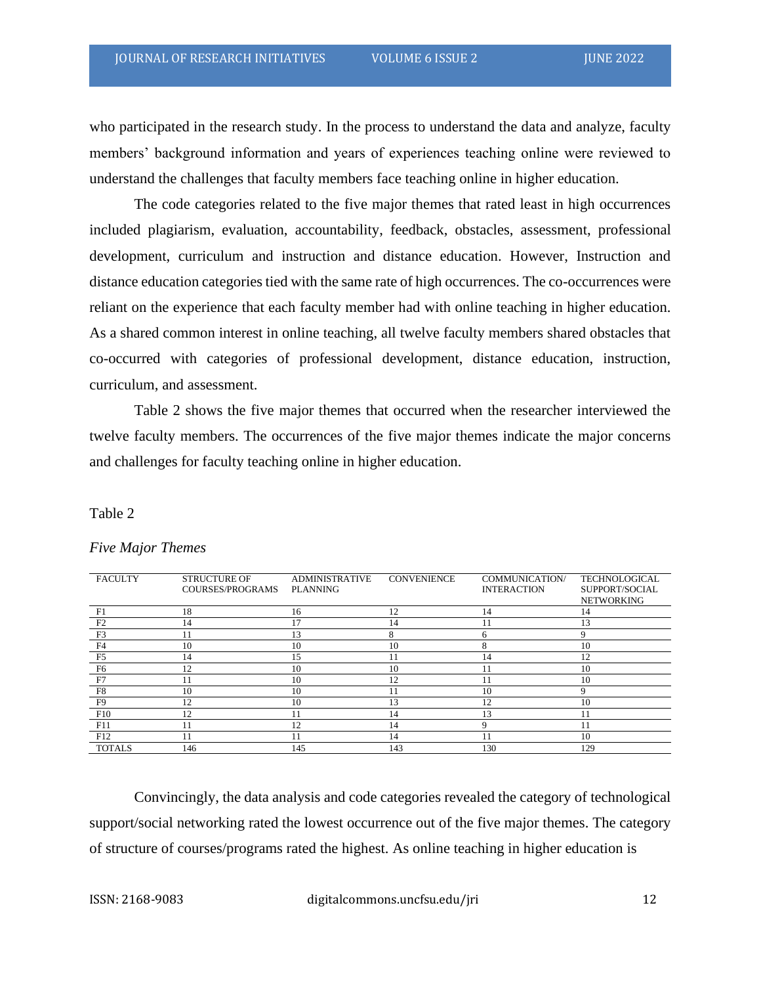who participated in the research study. In the process to understand the data and analyze, faculty members' background information and years of experiences teaching online were reviewed to understand the challenges that faculty members face teaching online in higher education.

The code categories related to the five major themes that rated least in high occurrences included plagiarism, evaluation, accountability, feedback, obstacles, assessment, professional development, curriculum and instruction and distance education. However, Instruction and distance education categories tied with the same rate of high occurrences. The co-occurrences were reliant on the experience that each faculty member had with online teaching in higher education. As a shared common interest in online teaching, all twelve faculty members shared obstacles that co-occurred with categories of professional development, distance education, instruction, curriculum, and assessment.

Table 2 shows the five major themes that occurred when the researcher interviewed the twelve faculty members. The occurrences of the five major themes indicate the major concerns and challenges for faculty teaching online in higher education.

#### Table 2

| <b>FACULTY</b>  | <b>STRUCTURE OF</b><br>COURSES/PROGRAMS | <b>ADMINISTRATIVE</b><br><b>PLANNING</b> | <b>CONVENIENCE</b> | COMMUNICATION/<br><b>INTERACTION</b> | <b>TECHNOLOGICAL</b><br>SUPPORT/SOCIAL<br><b>NETWORKING</b> |
|-----------------|-----------------------------------------|------------------------------------------|--------------------|--------------------------------------|-------------------------------------------------------------|
| F1              | 18                                      | 16                                       | 12                 | 14                                   | 14                                                          |
| F <sub>2</sub>  | 14                                      | 17                                       | 14                 |                                      | 13                                                          |
| F <sub>3</sub>  | 11                                      | 13                                       |                    | h                                    |                                                             |
| F4              | 10                                      | 10                                       | 10                 | 8                                    | 10                                                          |
| F5              | 14                                      | 15                                       | 11                 | 14                                   | 12                                                          |
| F <sub>6</sub>  | 12                                      | 10                                       | 10                 |                                      | 10                                                          |
| F7              | 11                                      | 10                                       | 12                 |                                      | 10                                                          |
| F8              | 10                                      | 10                                       | 11                 | 10                                   |                                                             |
| F9              | 12                                      | 10                                       | 13                 | 12                                   | 10                                                          |
| F10             | 12                                      | 11                                       | 14                 | 13                                   | 11                                                          |
| F11             | 11                                      | 12                                       | 14                 |                                      | 11                                                          |
| F <sub>12</sub> | 11                                      |                                          | 14                 |                                      | 10                                                          |
| <b>TOTALS</b>   | 146                                     | 145                                      | 143                | 130                                  | 129                                                         |

#### *Five Major Themes*

Convincingly, the data analysis and code categories revealed the category of technological support/social networking rated the lowest occurrence out of the five major themes. The category of structure of courses/programs rated the highest. As online teaching in higher education is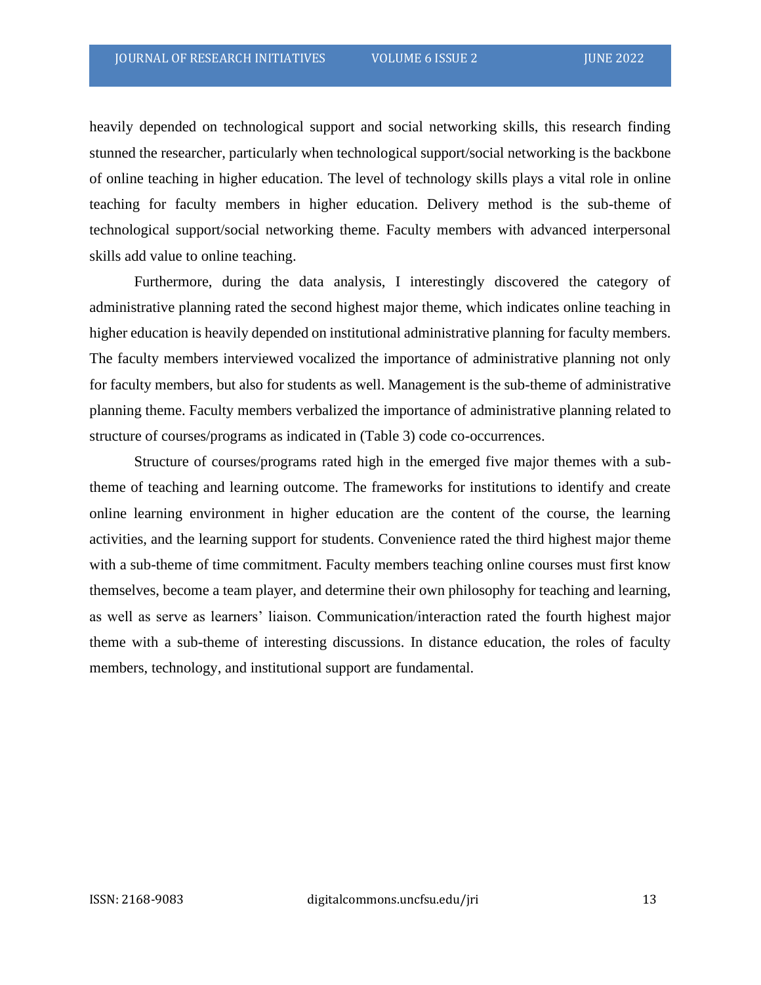heavily depended on technological support and social networking skills, this research finding stunned the researcher, particularly when technological support/social networking is the backbone of online teaching in higher education. The level of technology skills plays a vital role in online teaching for faculty members in higher education. Delivery method is the sub-theme of technological support/social networking theme. Faculty members with advanced interpersonal skills add value to online teaching.

Furthermore, during the data analysis, I interestingly discovered the category of administrative planning rated the second highest major theme, which indicates online teaching in higher education is heavily depended on institutional administrative planning for faculty members. The faculty members interviewed vocalized the importance of administrative planning not only for faculty members, but also for students as well. Management is the sub-theme of administrative planning theme. Faculty members verbalized the importance of administrative planning related to structure of courses/programs as indicated in (Table 3) code co-occurrences.

Structure of courses/programs rated high in the emerged five major themes with a subtheme of teaching and learning outcome. The frameworks for institutions to identify and create online learning environment in higher education are the content of the course, the learning activities, and the learning support for students. Convenience rated the third highest major theme with a sub-theme of time commitment. Faculty members teaching online courses must first know themselves, become a team player, and determine their own philosophy for teaching and learning, as well as serve as learners' liaison. Communication/interaction rated the fourth highest major theme with a sub-theme of interesting discussions. In distance education, the roles of faculty members, technology, and institutional support are fundamental.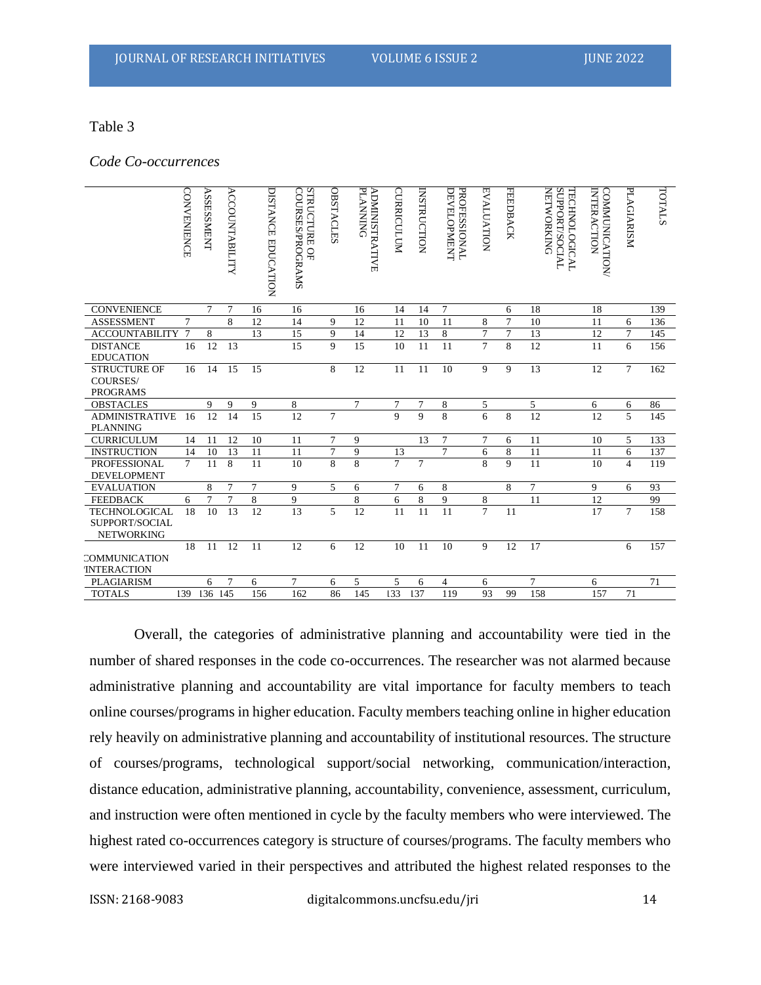#### Table 3

*Code Co-occurrences*

|                                         | <b>CONNEINENCE</b> | <b>ASSESSMENT</b> | <b>ACCOUNTABILITY</b> | DISTANCE EDUCATION | <b>STRUCTURE</b><br><b>COURSES/PROGRAMS</b><br>¥ | <b>OBSTACLES</b> | <b>PLANNING</b><br>ADMINISTRATIVE | <b>CURRICULUM</b> | <b>INSTRUCTION</b> | <b>DEVELOPMENT</b><br><b>PROFESSIONAL</b> | <b>EVALUATION</b> | <b>FEEDBACK</b> | <b>SUPPORT/SOCIAL</b><br><b>NETWORKING</b><br><b>TECHNOLOGICAL</b> | INTERACTION<br><b>COMMUNICATION</b> | <b>PLAGIARISM</b> | TOTALS |
|-----------------------------------------|--------------------|-------------------|-----------------------|--------------------|--------------------------------------------------|------------------|-----------------------------------|-------------------|--------------------|-------------------------------------------|-------------------|-----------------|--------------------------------------------------------------------|-------------------------------------|-------------------|--------|
| <b>CONVENIENCE</b>                      |                    | 7                 | 7                     | 16                 | 16                                               |                  | 16                                | 14                | 14                 | 7                                         |                   | 6               | 18                                                                 | 18                                  |                   | 139    |
| <b>ASSESSMENT</b>                       | 7                  |                   | 8                     | 12                 | 14                                               | 9                | 12                                | 11                | 10                 | 11                                        | 8                 | $\overline{7}$  | 10                                                                 | 11                                  | 6                 | 136    |
| <b>ACCOUNTABILITY</b>                   | $\overline{7}$     | 8                 |                       | 13                 | 15                                               | 9                | 14                                | 12                | 13                 | 8                                         | $\overline{7}$    | $\overline{7}$  | 13                                                                 | 12                                  | $\overline{7}$    | 145    |
| <b>DISTANCE</b>                         | 16                 | 12                | 13                    |                    | 15                                               | $\mathbf{Q}$     | 15                                | 10                | 11                 | 11                                        | $\overline{7}$    | 8               | 12                                                                 | 11                                  | 6                 | 156    |
| <b>EDUCATION</b><br><b>STRUCTURE OF</b> |                    | 14                | 15                    | 15                 |                                                  | 8                |                                   | 11                | 11                 | 10                                        | 9                 | 9               | 13                                                                 | 12                                  | $\tau$            | 162    |
| <b>COURSES/</b>                         | 16                 |                   |                       |                    |                                                  |                  | 12                                |                   |                    |                                           |                   |                 |                                                                    |                                     |                   |        |
| <b>PROGRAMS</b>                         |                    |                   |                       |                    |                                                  |                  |                                   |                   |                    |                                           |                   |                 |                                                                    |                                     |                   |        |
| <b>OBSTACLES</b>                        |                    | 9                 | 9                     |                    |                                                  |                  |                                   | 7                 | 7                  |                                           |                   |                 |                                                                    |                                     |                   |        |
| <b>ADMINISTRATIVE</b>                   | 16                 | 12                | 14                    | 9<br>15            | 8<br>12                                          | $\overline{7}$   | 7                                 | $\overline{Q}$    | 9                  | 8<br>8                                    | 5<br>6            | 8               | 5<br>12                                                            | 6<br>12                             | 6<br>5            | 86     |
| <b>PLANNING</b>                         |                    |                   |                       |                    |                                                  |                  |                                   |                   |                    |                                           |                   |                 |                                                                    |                                     |                   | 145    |
| <b>CURRICULUM</b>                       | 14                 | 11                | 12                    | 10                 | 11                                               | $\overline{7}$   | 9                                 |                   | 13                 | 7                                         | 7                 | 6               | 11                                                                 | 10                                  | 5                 | 133    |
| <b>INSTRUCTION</b>                      | 14                 | 10                | 13                    | 11                 | 11                                               | $\overline{7}$   | 9                                 | 13                |                    | $\overline{7}$                            | 6                 | 8               | 11                                                                 | 11                                  | 6                 | 137    |
| <b>PROFESSIONAL</b>                     | $\tau$             | 11                | 8                     | 11                 | 10                                               | 8                | 8                                 | $\overline{7}$    | $\tau$             |                                           | 8                 | 9               | 11                                                                 | 10                                  | $\overline{4}$    | 119    |
| <b>DEVELOPMENT</b>                      |                    |                   |                       |                    |                                                  |                  |                                   |                   |                    |                                           |                   |                 |                                                                    |                                     |                   |        |
| <b>EVALUATION</b>                       |                    | 8                 | $\overline{7}$        | $\overline{7}$     | 9                                                | 5                | 6                                 | $\overline{7}$    | 6                  | 8                                         |                   | 8               | $\overline{7}$                                                     | 9                                   | 6                 | 93     |
| <b>FEEDBACK</b>                         | 6                  | 7                 | 7                     | 8                  | 9                                                |                  | 8                                 | 6                 | 8                  | 9                                         | 8                 |                 | 11                                                                 | 12                                  |                   | 99     |
| <b>TECHNOLOGICAL</b>                    | 18                 | 10                | 13                    | 12                 | 13                                               | 5                | 12                                | 11                | 11                 | 11                                        | $\overline{7}$    | 11              |                                                                    | 17                                  | $\tau$            | 158    |
| SUPPORT/SOCIAL                          |                    |                   |                       |                    |                                                  |                  |                                   |                   |                    |                                           |                   |                 |                                                                    |                                     |                   |        |
| <b>NETWORKING</b>                       |                    |                   |                       |                    |                                                  |                  |                                   |                   |                    |                                           |                   |                 |                                                                    |                                     |                   |        |
|                                         | 18                 | 11                | 12                    | 11                 | 12                                               | 6                | 12                                | 10                | 11                 | 10                                        | 9                 | 12              | 17                                                                 |                                     | 6                 | 157    |
| COMMUNICATION                           |                    |                   |                       |                    |                                                  |                  |                                   |                   |                    |                                           |                   |                 |                                                                    |                                     |                   |        |
| <b>INTERACTION</b>                      |                    |                   |                       |                    |                                                  |                  |                                   |                   |                    |                                           |                   |                 |                                                                    |                                     |                   |        |
| PLAGIARISM                              |                    | 6                 | $\overline{7}$        | 6                  | 7                                                | 6                | 5                                 | 5                 | 6                  | 4                                         | 6                 |                 | $\overline{7}$                                                     | 6                                   |                   | 71     |
| <b>TOTALS</b>                           | 139                | 136               | 145                   | 156                | 162                                              | 86               | 145                               | 133               | 137                | 119                                       | 93                | 99              | 158                                                                | 157                                 | 71                |        |

Overall, the categories of administrative planning and accountability were tied in the number of shared responses in the code co-occurrences. The researcher was not alarmed because administrative planning and accountability are vital importance for faculty members to teach online courses/programs in higher education. Faculty members teaching online in higher education rely heavily on administrative planning and accountability of institutional resources. The structure of courses/programs, technological support/social networking, communication/interaction, distance education, administrative planning, accountability, convenience, assessment, curriculum, and instruction were often mentioned in cycle by the faculty members who were interviewed. The highest rated co-occurrences category is structure of courses/programs. The faculty members who were interviewed varied in their perspectives and attributed the highest related responses to the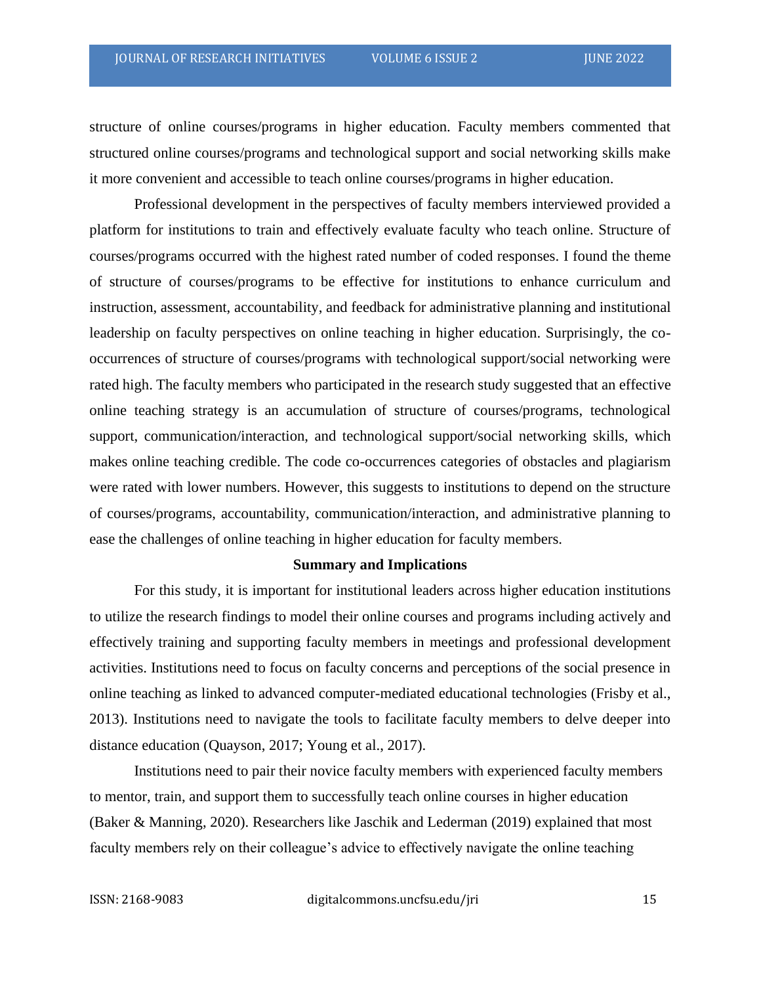structure of online courses/programs in higher education. Faculty members commented that structured online courses/programs and technological support and social networking skills make it more convenient and accessible to teach online courses/programs in higher education.

Professional development in the perspectives of faculty members interviewed provided a platform for institutions to train and effectively evaluate faculty who teach online. Structure of courses/programs occurred with the highest rated number of coded responses. I found the theme of structure of courses/programs to be effective for institutions to enhance curriculum and instruction, assessment, accountability, and feedback for administrative planning and institutional leadership on faculty perspectives on online teaching in higher education. Surprisingly, the cooccurrences of structure of courses/programs with technological support/social networking were rated high. The faculty members who participated in the research study suggested that an effective online teaching strategy is an accumulation of structure of courses/programs, technological support, communication/interaction, and technological support/social networking skills, which makes online teaching credible. The code co-occurrences categories of obstacles and plagiarism were rated with lower numbers. However, this suggests to institutions to depend on the structure of courses/programs, accountability, communication/interaction, and administrative planning to ease the challenges of online teaching in higher education for faculty members.

#### **Summary and Implications**

For this study, it is important for institutional leaders across higher education institutions to utilize the research findings to model their online courses and programs including actively and effectively training and supporting faculty members in meetings and professional development activities. Institutions need to focus on faculty concerns and perceptions of the social presence in online teaching as linked to advanced computer-mediated educational technologies (Frisby et al., 2013). Institutions need to navigate the tools to facilitate faculty members to delve deeper into distance education (Quayson, 2017; Young et al., 2017).

Institutions need to pair their novice faculty members with experienced faculty members to mentor, train, and support them to successfully teach online courses in higher education (Baker & Manning, 2020). Researchers like Jaschik and Lederman (2019) explained that most faculty members rely on their colleague's advice to effectively navigate the online teaching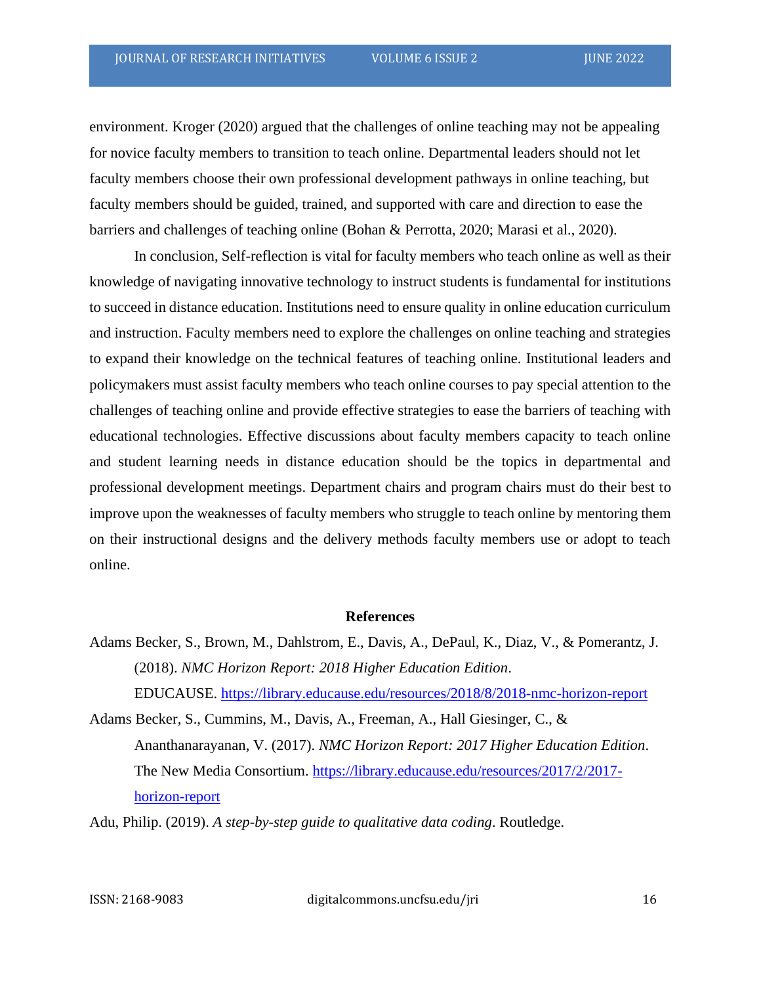environment. Kroger (2020) argued that the challenges of online teaching may not be appealing for novice faculty members to transition to teach online. Departmental leaders should not let faculty members choose their own professional development pathways in online teaching, but faculty members should be guided, trained, and supported with care and direction to ease the barriers and challenges of teaching online (Bohan & Perrotta, 2020; Marasi et al., 2020).

In conclusion, Self-reflection is vital for faculty members who teach online as well as their knowledge of navigating innovative technology to instruct students is fundamental for institutions to succeed in distance education. Institutions need to ensure quality in online education curriculum and instruction. Faculty members need to explore the challenges on online teaching and strategies to expand their knowledge on the technical features of teaching online. Institutional leaders and policymakers must assist faculty members who teach online courses to pay special attention to the challenges of teaching online and provide effective strategies to ease the barriers of teaching with educational technologies. Effective discussions about faculty members capacity to teach online and student learning needs in distance education should be the topics in departmental and professional development meetings. Department chairs and program chairs must do their best to improve upon the weaknesses of faculty members who struggle to teach online by mentoring them on their instructional designs and the delivery methods faculty members use or adopt to teach online.

#### **References**

Adams Becker, S., Brown, M., Dahlstrom, E., Davis, A., DePaul, K., Diaz, V., & Pomerantz, J. (2018). *NMC Horizon Report: 2018 Higher Education Edition*.

EDUCAUSE. <https://library.educause.edu/resources/2018/8/2018-nmc-horizon-report>

Adams Becker, S., Cummins, M., Davis, A., Freeman, A., Hall Giesinger, C., & Ananthanarayanan, V. (2017). *NMC Horizon Report: 2017 Higher Education Edition*. The New Media Consortium. [https://library.educause.edu/resources/2017/2/2017](https://library.educause.edu/resources/2017/2/2017-horizon-report) [horizon-report](https://library.educause.edu/resources/2017/2/2017-horizon-report)

Adu, Philip. (2019). *A step-by-step guide to qualitative data coding*. Routledge.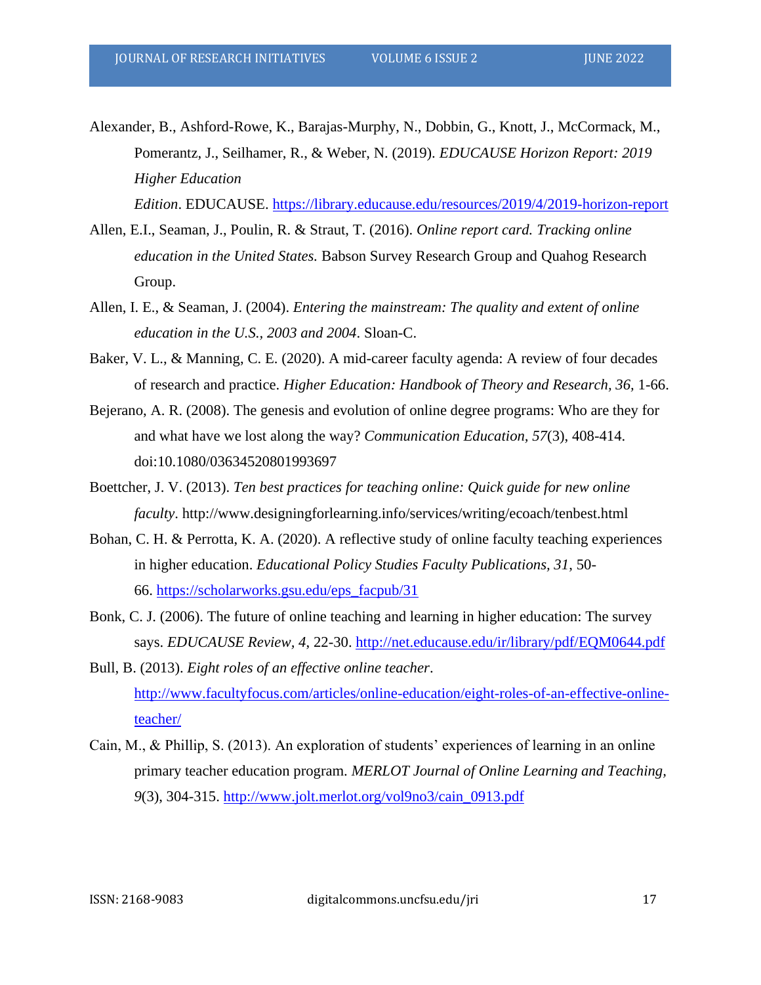- Alexander, B., Ashford-Rowe, K., Barajas-Murphy, N., Dobbin, G., Knott, J., McCormack, M., Pomerantz, J., Seilhamer, R., & Weber, N. (2019). *EDUCAUSE Horizon Report: 2019 Higher Education Edition*. EDUCAUSE. <https://library.educause.edu/resources/2019/4/2019-horizon-report>
- Allen, E.I., Seaman, J., Poulin, R. & Straut, T. (2016). *Online report card. Tracking online education in the United States.* Babson Survey Research Group and Quahog Research Group.
- Allen, I. E., & Seaman, J. (2004). *Entering the mainstream: The quality and extent of online education in the U.S., 2003 and 2004*. Sloan-C.
- Baker, V. L., & Manning, C. E. (2020). A mid-career faculty agenda: A review of four decades of research and practice. *Higher Education: Handbook of Theory and Research, 36,* 1-66.
- Bejerano, A. R. (2008). The genesis and evolution of online degree programs: Who are they for and what have we lost along the way? *Communication Education, 57*(3), 408-414. doi:10.1080/03634520801993697
- Boettcher, J. V. (2013). *Ten best practices for teaching online: Quick guide for new online faculty*. http://www.designingforlearning.info/services/writing/ecoach/tenbest.html
- Bohan, C. H. & Perrotta, K. A. (2020). A reflective study of online faculty teaching experiences in higher education. *Educational Policy Studies Faculty Publications, 31*, 50- 66. [https://scholarworks.gsu.edu/eps\\_facpub/31](https://scholarworks.gsu.edu/eps_facpub/31)
- Bonk, C. J. (2006). The future of online teaching and learning in higher education: The survey says. *EDUCAUSE Review, 4*, 22-30.<http://net.educause.edu/ir/library/pdf/EQM0644.pdf>
- Bull, B. (2013). *Eight roles of an effective online teacher*. [http://www.facultyfocus.com/articles/online-education/eight-roles-of-an-effective-online](http://www.facultyfocus.com/articles/online-education/eight-roles-of-an-effective-online-teacher/)[teacher/](http://www.facultyfocus.com/articles/online-education/eight-roles-of-an-effective-online-teacher/)
- Cain, M., & Phillip, S. (2013). An exploration of students' experiences of learning in an online primary teacher education program. *MERLOT Journal of Online Learning and Teaching, 9*(3), 304-315. [http://www.jolt.merlot.org/vol9no3/cain\\_0913.pdf](http://www.jolt.merlot.org/vol9no3/cain_0913.pdf)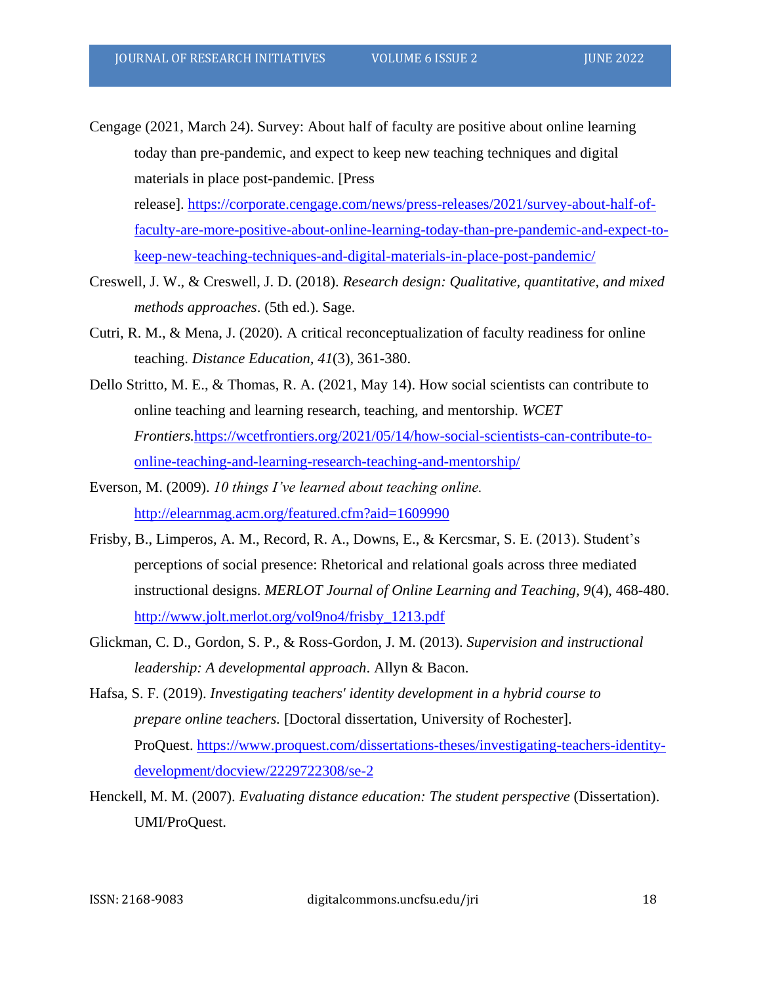Cengage (2021, March 24). Survey: About half of faculty are positive about online learning today than pre-pandemic, and expect to keep new teaching techniques and digital materials in place post-pandemic. [Press release]. [https://corporate.cengage.com/news/press-releases/2021/survey-about-half-of](https://corporate.cengage.com/news/press-releases/2021/survey-about-half-of-faculty-are-more-positive-about-online-learning-today-than-pre-pandemic-and-expect-to-keep-new-teaching-techniques-and-digital-materials-in-place-post-pandemic/)[faculty-are-more-positive-about-online-learning-today-than-pre-pandemic-and-expect-to-](https://corporate.cengage.com/news/press-releases/2021/survey-about-half-of-faculty-are-more-positive-about-online-learning-today-than-pre-pandemic-and-expect-to-keep-new-teaching-techniques-and-digital-materials-in-place-post-pandemic/)

[keep-new-teaching-techniques-and-digital-materials-in-place-post-pandemic/](https://corporate.cengage.com/news/press-releases/2021/survey-about-half-of-faculty-are-more-positive-about-online-learning-today-than-pre-pandemic-and-expect-to-keep-new-teaching-techniques-and-digital-materials-in-place-post-pandemic/)

- Creswell, J. W., & Creswell, J. D. (2018). *Research design: Qualitative, quantitative, and mixed methods approaches*. (5th ed.). Sage.
- Cutri, R. M., & Mena, J. (2020). A critical reconceptualization of faculty readiness for online teaching. *Distance Education, 41*(3), 361-380.
- Dello Stritto, M. E., & Thomas, R. A. (2021, May 14). How social scientists can contribute to online teaching and learning research, teaching, and mentorship. *WCET Frontiers.*[https://wcetfrontiers.org/2021/05/14/how-social-scientists-can-contribute-to](https://wcetfrontiers.org/2021/05/14/how-social-scientists-can-contribute-to-online-teaching-and-learning-research-teaching-and-mentorship/)[online-teaching-and-learning-research-teaching-and-mentorship/](https://wcetfrontiers.org/2021/05/14/how-social-scientists-can-contribute-to-online-teaching-and-learning-research-teaching-and-mentorship/)
- Everson, M. (2009). *10 things I've learned about teaching online.* <http://elearnmag.acm.org/featured.cfm?aid=1609990>
- Frisby, B., Limperos, A. M., Record, R. A., Downs, E., & Kercsmar, S. E. (2013). Student's perceptions of social presence: Rhetorical and relational goals across three mediated instructional designs. *MERLOT Journal of Online Learning and Teaching, 9*(4), 468-480. [http://www.jolt.merlot.org/vol9no4/frisby\\_1213.pdf](http://www.jolt.merlot.org/vol9no4/frisby_1213.pdf)
- Glickman, C. D., Gordon, S. P., & Ross-Gordon, J. M. (2013). *Supervision and instructional leadership: A developmental approach*. Allyn & Bacon.
- Hafsa, S. F. (2019). *Investigating teachers' identity development in a hybrid course to prepare online teachers.* [Doctoral dissertation, University of Rochester]. ProQuest. [https://www.proquest.com/dissertations-theses/investigating-teachers-identity](https://www.proquest.com/dissertations-theses/investigating-teachers-identity-development/docview/2229722308/se-2)[development/docview/2229722308/se-2](https://www.proquest.com/dissertations-theses/investigating-teachers-identity-development/docview/2229722308/se-2)
- Henckell, M. M. (2007). *Evaluating distance education: The student perspective* (Dissertation). UMI/ProQuest.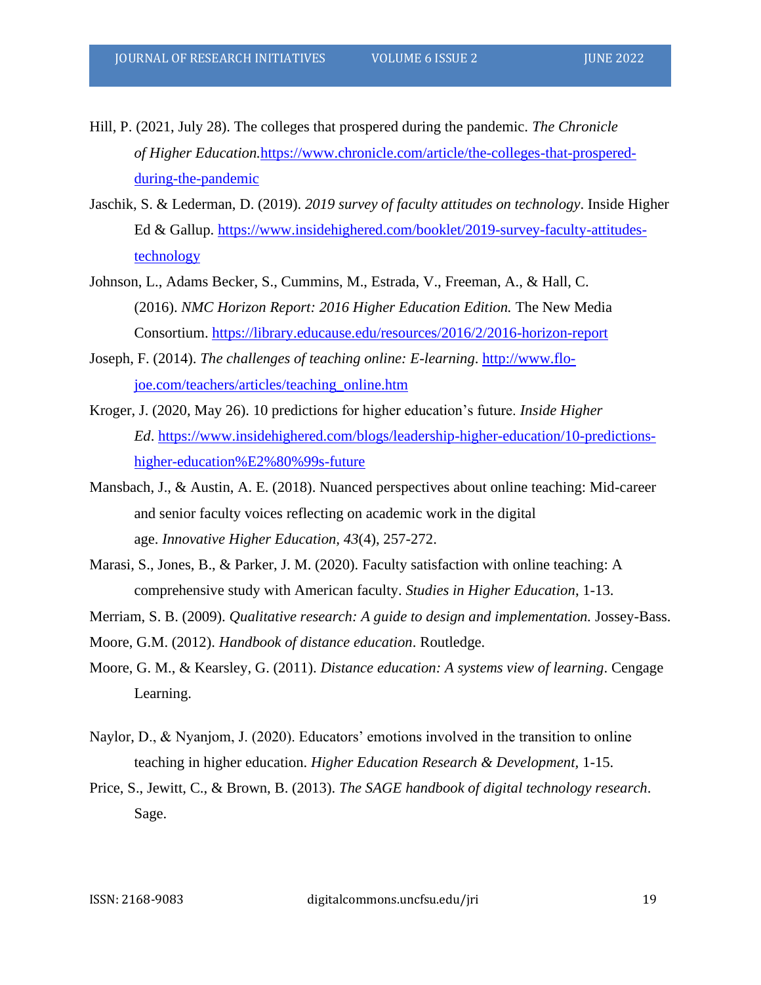- Hill, P. (2021, July 28). The colleges that prospered during the pandemic. *The Chronicle of Higher Education.*[https://www.chronicle.com/article/the-colleges-that-prospered](https://www.chronicle.com/article/the-colleges-that-prospered-during-the-pandemic)[during-the-pandemic](https://www.chronicle.com/article/the-colleges-that-prospered-during-the-pandemic)
- Jaschik, S. & Lederman, D. (2019). *2019 survey of faculty attitudes on technology*. Inside Higher Ed & Gallup. [https://www.insidehighered.com/booklet/2019-survey-faculty-attitudes](https://www.insidehighered.com/booklet/2019-survey-faculty-attitudes-technology)[technology](https://www.insidehighered.com/booklet/2019-survey-faculty-attitudes-technology)
- Johnson, L., Adams Becker, S., Cummins, M., Estrada, V., Freeman, A., & Hall, C. (2016). *NMC Horizon Report: 2016 Higher Education Edition.* The New Media Consortium. <https://library.educause.edu/resources/2016/2/2016-horizon-report>
- Joseph, F. (2014). *The challenges of teaching online: E-learning*. [http://www.flo](http://www.flo-joe.com/teachers/articles/teaching_online.htm)[joe.com/teachers/articles/teaching\\_online.htm](http://www.flo-joe.com/teachers/articles/teaching_online.htm)
- Kroger, J. (2020, May 26). 10 predictions for higher education's future. *Inside Higher Ed*. [https://www.insidehighered.com/blogs/leadership-higher-education/10-predictions](https://www.insidehighered.com/blogs/leadership-higher-education/10-predictions-higher-education%E2%80%99s-future)[higher-education%E2%80%99s-future](https://www.insidehighered.com/blogs/leadership-higher-education/10-predictions-higher-education%E2%80%99s-future)
- Mansbach, J., & Austin, A. E. (2018). Nuanced perspectives about online teaching: Mid-career and senior faculty voices reflecting on academic work in the digital age. *Innovative Higher Education, 43*(4), 257-272.
- Marasi, S., Jones, B., & Parker, J. M. (2020). Faculty satisfaction with online teaching: A comprehensive study with American faculty. *Studies in Higher Education*, 1-13.
- Merriam, S. B. (2009). *Qualitative research: A guide to design and implementation.* Jossey-Bass.
- Moore, G.M. (2012). *Handbook of distance education*. Routledge.
- Moore, G. M., & Kearsley, G. (2011). *Distance education: A systems view of learning*. Cengage Learning.
- Naylor, D., & Nyanjom, J. (2020). Educators' emotions involved in the transition to online teaching in higher education. *Higher Education Research & Development,* 1-15.
- Price, S., Jewitt, C., & Brown, B. (2013). *The SAGE handbook of digital technology research*. Sage.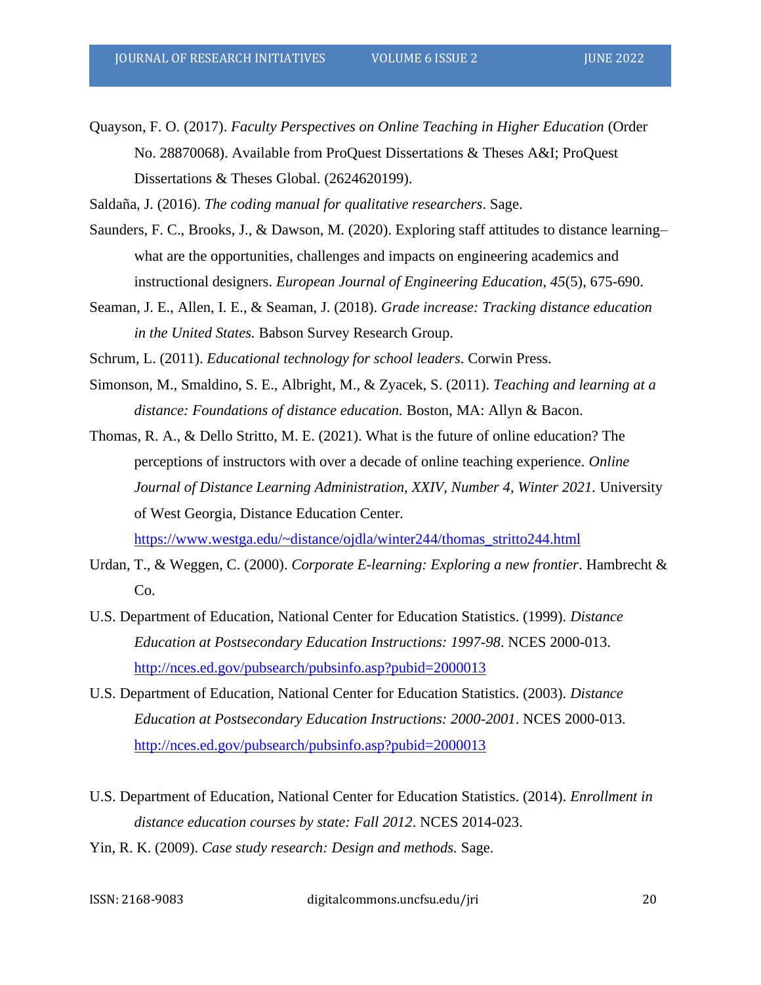Quayson, F. O. (2017). *Faculty Perspectives on Online Teaching in Higher Education* (Order No. 28870068). Available from ProQuest Dissertations & Theses A&I; ProQuest Dissertations & Theses Global. (2624620199).

Saldaña, J. (2016). *The coding manual for qualitative researchers*. Sage.

- Saunders, F. C., Brooks, J., & Dawson, M. (2020). Exploring staff attitudes to distance learning– what are the opportunities, challenges and impacts on engineering academics and instructional designers. *European Journal of Engineering Education*, *45*(5), 675-690.
- Seaman, J. E., Allen, I. E., & Seaman, J. (2018). *Grade increase: Tracking distance education in the United States.* Babson Survey Research Group.

Schrum, L. (2011). *Educational technology for school leaders*. Corwin Press.

- Simonson, M., Smaldino, S. E., Albright, M., & Zyacek, S. (2011). *Teaching and learning at a distance: Foundations of distance education.* Boston, MA: Allyn & Bacon.
- Thomas, R. A., & Dello Stritto, M. E. (2021). What is the future of online education? The perceptions of instructors with over a decade of online teaching experience. *Online Journal of Distance Learning Administration, XXIV, Number 4, Winter 2021. University* of West Georgia, Distance Education Center.

[https://www.westga.edu/~distance/ojdla/winter244/thomas\\_stritto244.html](https://www.westga.edu/~distance/ojdla/winter244/thomas_stritto244.html)

- Urdan, T., & Weggen, C. (2000). *Corporate E-learning: Exploring a new frontier*. Hambrecht & C<sub>o</sub>.
- U.S. Department of Education, National Center for Education Statistics. (1999). *Distance Education at Postsecondary Education Instructions: 1997-98*. NCES 2000-013. <http://nces.ed.gov/pubsearch/pubsinfo.asp?pubid=2000013>
- U.S. Department of Education, National Center for Education Statistics. (2003). *Distance Education at Postsecondary Education Instructions: 2000-2001*. NCES 2000-013. <http://nces.ed.gov/pubsearch/pubsinfo.asp?pubid=2000013>
- U.S. Department of Education, National Center for Education Statistics. (2014). *Enrollment in distance education courses by state: Fall 2012*. NCES 2014-023.
- Yin, R. K. (2009). *Case study research: Design and methods.* Sage.